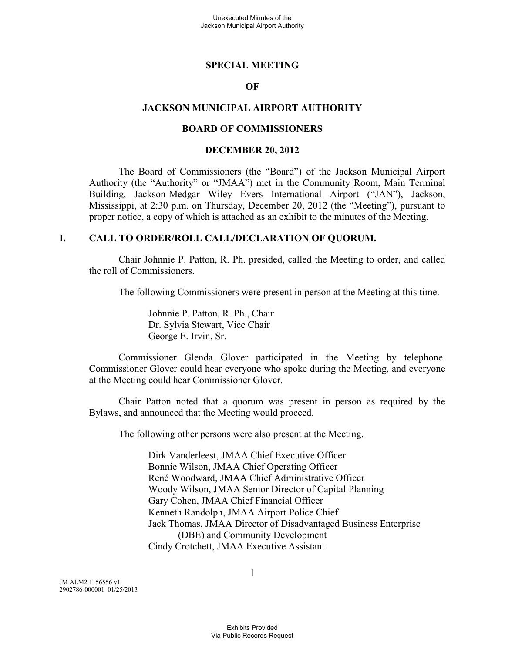#### **SPECIAL MEETING**

## **OF**

#### **JACKSON MUNICIPAL AIRPORT AUTHORITY**

#### **BOARD OF COMMISSIONERS**

#### **DECEMBER 20, 2012**

The Board of Commissioners (the "Board") of the Jackson Municipal Airport Authority (the "Authority" or "JMAA") met in the Community Room, Main Terminal Building, Jackson-Medgar Wiley Evers International Airport ("JAN"), Jackson, Mississippi, at 2:30 p.m. on Thursday, December 20, 2012 (the "Meeting"), pursuant to proper notice, a copy of which is attached as an exhibit to the minutes of the Meeting.

#### **I. CALL TO ORDER/ROLL CALL/DECLARATION OF QUORUM.**

Chair Johnnie P. Patton, R. Ph. presided, called the Meeting to order, and called the roll of Commissioners.

The following Commissioners were present in person at the Meeting at this time.

Johnnie P. Patton, R. Ph., Chair Dr. Sylvia Stewart, Vice Chair George E. Irvin, Sr.

Commissioner Glenda Glover participated in the Meeting by telephone. Commissioner Glover could hear everyone who spoke during the Meeting, and everyone at the Meeting could hear Commissioner Glover.

Chair Patton noted that a quorum was present in person as required by the Bylaws, and announced that the Meeting would proceed.

The following other persons were also present at the Meeting.

Dirk Vanderleest, JMAA Chief Executive Officer Bonnie Wilson, JMAA Chief Operating Officer René Woodward, JMAA Chief Administrative Officer Woody Wilson, JMAA Senior Director of Capital Planning Gary Cohen, JMAA Chief Financial Officer Kenneth Randolph, JMAA Airport Police Chief Jack Thomas, JMAA Director of Disadvantaged Business Enterprise (DBE) and Community Development Cindy Crotchett, JMAA Executive Assistant

JM ALM2 1156556 v1 2902786-000001 01/25/2013 1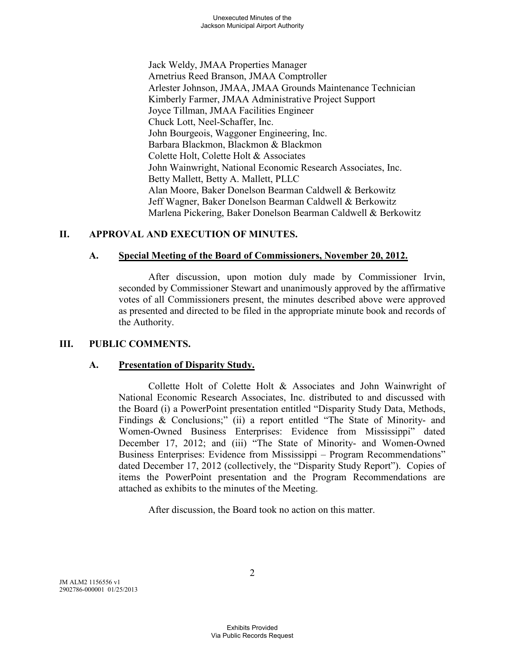Jack Weldy, JMAA Properties Manager Arnetrius Reed Branson, JMAA Comptroller Arlester Johnson, JMAA, JMAA Grounds Maintenance Technician Kimberly Farmer, JMAA Administrative Project Support Joyce Tillman, JMAA Facilities Engineer Chuck Lott, Neel-Schaffer, Inc. John Bourgeois, Waggoner Engineering, Inc. Barbara Blackmon, Blackmon & Blackmon Colette Holt, Colette Holt & Associates John Wainwright, National Economic Research Associates, Inc. Betty Mallett, Betty A. Mallett, PLLC Alan Moore, Baker Donelson Bearman Caldwell & Berkowitz Jeff Wagner, Baker Donelson Bearman Caldwell & Berkowitz Marlena Pickering, Baker Donelson Bearman Caldwell & Berkowitz

# **II. APPROVAL AND EXECUTION OF MINUTES.**

# **A. Special Meeting of the Board of Commissioners, November 20, 2012.**

After discussion, upon motion duly made by Commissioner Irvin, seconded by Commissioner Stewart and unanimously approved by the affirmative votes of all Commissioners present, the minutes described above were approved as presented and directed to be filed in the appropriate minute book and records of the Authority.

## **III. PUBLIC COMMENTS.**

## **A. Presentation of Disparity Study.**

Collette Holt of Colette Holt & Associates and John Wainwright of National Economic Research Associates, Inc. distributed to and discussed with the Board (i) a PowerPoint presentation entitled "Disparity Study Data, Methods, Findings & Conclusions;" (ii) a report entitled "The State of Minority- and Women-Owned Business Enterprises: Evidence from Mississippi" dated December 17, 2012; and (iii) "The State of Minority- and Women-Owned Business Enterprises: Evidence from Mississippi – Program Recommendations" dated December 17, 2012 (collectively, the "Disparity Study Report"). Copies of items the PowerPoint presentation and the Program Recommendations are attached as exhibits to the minutes of the Meeting.

After discussion, the Board took no action on this matter.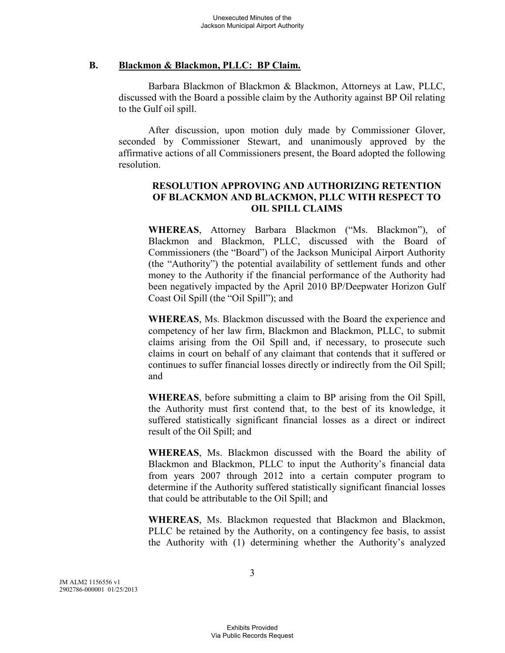## **B. Blackmon & Blackmon, PLLC: BP Claim.**

Barbara Blackmon of Blackmon & Blackmon, Attorneys at Law, PLLC, discussed with the Board a possible claim by the Authority against BP Oil relating to the Gulf oil spill.

After discussion, upon motion duly made by Commissioner Glover, seconded by Commissioner Stewart, and unanimously approved by the affirmative actions of all Commissioners present, the Board adopted the following resolution.

# **RESOLUTION APPROVING AND AUTHORIZING RETENTION OF BLACKMON AND BLACKMON, PLLC WITH RESPECT TO OIL SPILL CLAIMS**

**WHEREAS**, Attorney Barbara Blackmon ("Ms. Blackmon"), of Blackmon and Blackmon, PLLC, discussed with the Board of Commissioners (the "Board") of the Jackson Municipal Airport Authority (the "Authority") the potential availability of settlement funds and other money to the Authority if the financial performance of the Authority had been negatively impacted by the April 2010 BP/Deepwater Horizon Gulf Coast Oil Spill (the "Oil Spill"); and

**WHEREAS**, Ms. Blackmon discussed with the Board the experience and competency of her law firm, Blackmon and Blackmon, PLLC, to submit claims arising from the Oil Spill and, if necessary, to prosecute such claims in court on behalf of any claimant that contends that it suffered or continues to suffer financial losses directly or indirectly from the Oil Spill; and

**WHEREAS**, before submitting a claim to BP arising from the Oil Spill, the Authority must first contend that, to the best of its knowledge, it suffered statistically significant financial losses as a direct or indirect result of the Oil Spill; and

**WHEREAS**, Ms. Blackmon discussed with the Board the ability of Blackmon and Blackmon, PLLC to input the Authority's financial data from years 2007 through 2012 into a certain computer program to determine if the Authority suffered statistically significant financial losses that could be attributable to the Oil Spill; and

**WHEREAS**, Ms. Blackmon requested that Blackmon and Blackmon, PLLC be retained by the Authority, on a contingency fee basis, to assist the Authority with (1) determining whether the Authority's analyzed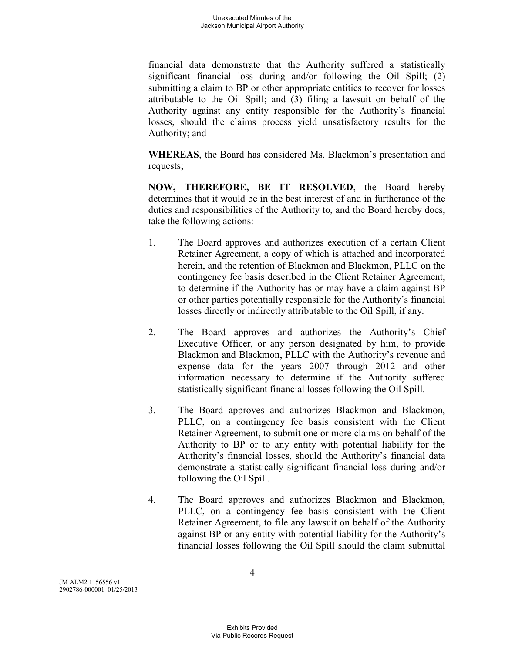financial data demonstrate that the Authority suffered a statistically significant financial loss during and/or following the Oil Spill; (2) submitting a claim to BP or other appropriate entities to recover for losses attributable to the Oil Spill; and (3) filing a lawsuit on behalf of the Authority against any entity responsible for the Authority's financial losses, should the claims process yield unsatisfactory results for the Authority; and

**WHEREAS**, the Board has considered Ms. Blackmon's presentation and requests;

**NOW, THEREFORE, BE IT RESOLVED**, the Board hereby determines that it would be in the best interest of and in furtherance of the duties and responsibilities of the Authority to, and the Board hereby does, take the following actions:

- 1. The Board approves and authorizes execution of a certain Client Retainer Agreement, a copy of which is attached and incorporated herein, and the retention of Blackmon and Blackmon, PLLC on the contingency fee basis described in the Client Retainer Agreement, to determine if the Authority has or may have a claim against BP or other parties potentially responsible for the Authority's financial losses directly or indirectly attributable to the Oil Spill, if any.
- 2. The Board approves and authorizes the Authority's Chief Executive Officer, or any person designated by him, to provide Blackmon and Blackmon, PLLC with the Authority's revenue and expense data for the years 2007 through 2012 and other information necessary to determine if the Authority suffered statistically significant financial losses following the Oil Spill.
- 3. The Board approves and authorizes Blackmon and Blackmon, PLLC, on a contingency fee basis consistent with the Client Retainer Agreement, to submit one or more claims on behalf of the Authority to BP or to any entity with potential liability for the Authority's financial losses, should the Authority's financial data demonstrate a statistically significant financial loss during and/or following the Oil Spill.
- 4. The Board approves and authorizes Blackmon and Blackmon, PLLC, on a contingency fee basis consistent with the Client Retainer Agreement, to file any lawsuit on behalf of the Authority against BP or any entity with potential liability for the Authority's financial losses following the Oil Spill should the claim submittal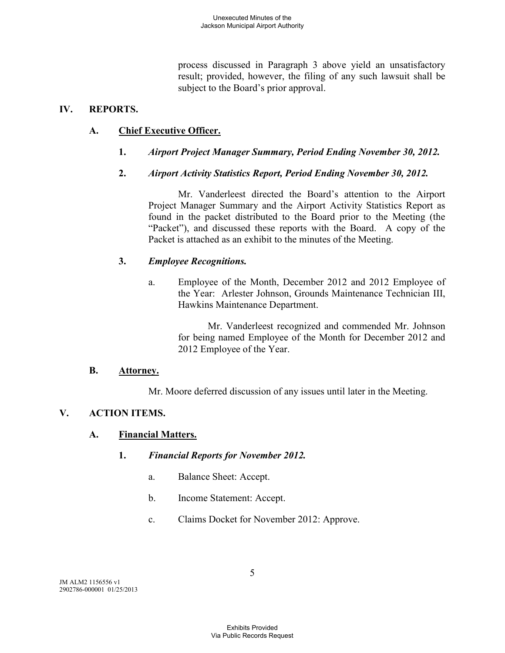process discussed in Paragraph 3 above yield an unsatisfactory result; provided, however, the filing of any such lawsuit shall be subject to the Board's prior approval.

## **IV. REPORTS.**

# **A. Chief Executive Officer.**

- **1.** *Airport Project Manager Summary, Period Ending November 30, 2012.*
- **2.** *Airport Activity Statistics Report, Period Ending November 30, 2012.*

Mr. Vanderleest directed the Board's attention to the Airport Project Manager Summary and the Airport Activity Statistics Report as found in the packet distributed to the Board prior to the Meeting (the "Packet"), and discussed these reports with the Board. A copy of the Packet is attached as an exhibit to the minutes of the Meeting.

## **3.** *Employee Recognitions.*

a. Employee of the Month, December 2012 and 2012 Employee of the Year: Arlester Johnson, Grounds Maintenance Technician III, Hawkins Maintenance Department.

> Mr. Vanderleest recognized and commended Mr. Johnson for being named Employee of the Month for December 2012 and 2012 Employee of the Year.

## **B. Attorney.**

Mr. Moore deferred discussion of any issues until later in the Meeting.

# **V. ACTION ITEMS.**

## **A. Financial Matters.**

## **1.** *Financial Reports for November 2012.*

- a. Balance Sheet: Accept.
- b. Income Statement: Accept.
- c. Claims Docket for November 2012: Approve.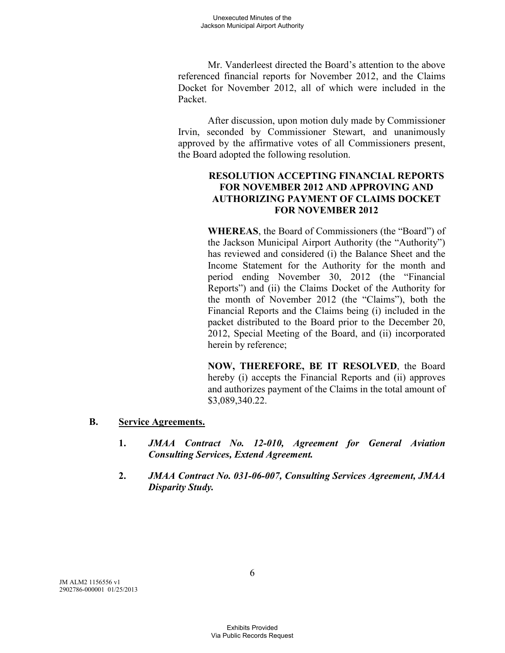Mr. Vanderleest directed the Board's attention to the above referenced financial reports for November 2012, and the Claims Docket for November 2012, all of which were included in the Packet.

After discussion, upon motion duly made by Commissioner Irvin, seconded by Commissioner Stewart, and unanimously approved by the affirmative votes of all Commissioners present, the Board adopted the following resolution.

# **RESOLUTION ACCEPTING FINANCIAL REPORTS FOR NOVEMBER 2012 AND APPROVING AND AUTHORIZING PAYMENT OF CLAIMS DOCKET FOR NOVEMBER 2012**

**WHEREAS**, the Board of Commissioners (the "Board") of the Jackson Municipal Airport Authority (the "Authority") has reviewed and considered (i) the Balance Sheet and the Income Statement for the Authority for the month and period ending November 30, 2012 (the "Financial Reports") and (ii) the Claims Docket of the Authority for the month of November 2012 (the "Claims"), both the Financial Reports and the Claims being (i) included in the packet distributed to the Board prior to the December 20, 2012, Special Meeting of the Board, and (ii) incorporated herein by reference;

**NOW, THEREFORE, BE IT RESOLVED**, the Board hereby (i) accepts the Financial Reports and (ii) approves and authorizes payment of the Claims in the total amount of \$3,089,340.22.

## **B. Service Agreements.**

- **1.** *JMAA Contract No. 12-010, Agreement for General Aviation Consulting Services, Extend Agreement.*
- **2.** *JMAA Contract No. 031-06-007, Consulting Services Agreement, JMAA Disparity Study.*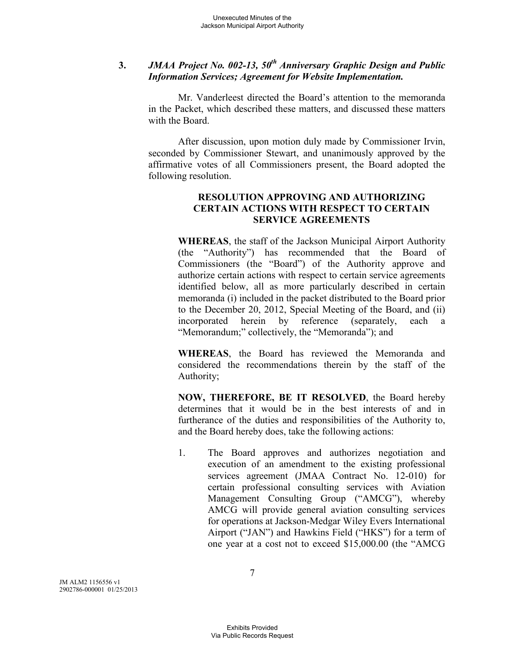# **3.** *JMAA Project No. 002-13, 50th Anniversary Graphic Design and Public Information Services; Agreement for Website Implementation.*

Mr. Vanderleest directed the Board's attention to the memoranda in the Packet, which described these matters, and discussed these matters with the Board.

After discussion, upon motion duly made by Commissioner Irvin, seconded by Commissioner Stewart, and unanimously approved by the affirmative votes of all Commissioners present, the Board adopted the following resolution.

# **RESOLUTION APPROVING AND AUTHORIZING CERTAIN ACTIONS WITH RESPECT TO CERTAIN SERVICE AGREEMENTS**

**WHEREAS**, the staff of the Jackson Municipal Airport Authority (the "Authority") has recommended that the Board of Commissioners (the "Board") of the Authority approve and authorize certain actions with respect to certain service agreements identified below, all as more particularly described in certain memoranda (i) included in the packet distributed to the Board prior to the December 20, 2012, Special Meeting of the Board, and (ii) incorporated herein by reference (separately, each a "Memorandum;" collectively, the "Memoranda"); and

**WHEREAS**, the Board has reviewed the Memoranda and considered the recommendations therein by the staff of the Authority;

**NOW, THEREFORE, BE IT RESOLVED**, the Board hereby determines that it would be in the best interests of and in furtherance of the duties and responsibilities of the Authority to, and the Board hereby does, take the following actions:

1. The Board approves and authorizes negotiation and execution of an amendment to the existing professional services agreement (JMAA Contract No. 12-010) for certain professional consulting services with Aviation Management Consulting Group ("AMCG"), whereby AMCG will provide general aviation consulting services for operations at Jackson-Medgar Wiley Evers International Airport ("JAN") and Hawkins Field ("HKS") for a term of one year at a cost not to exceed \$15,000.00 (the "AMCG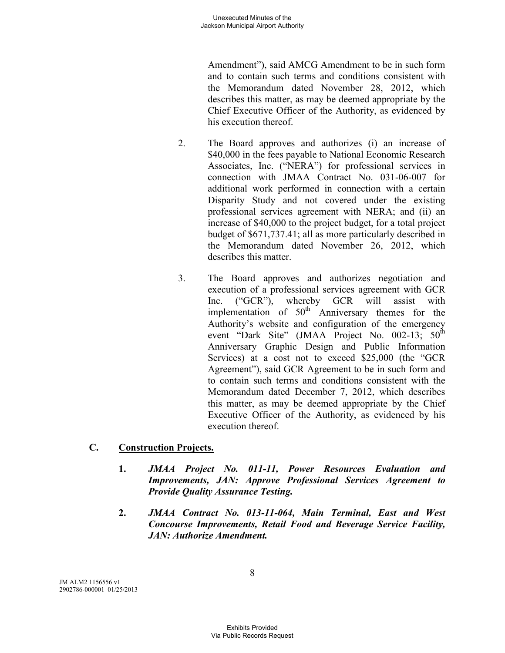Amendment"), said AMCG Amendment to be in such form and to contain such terms and conditions consistent with the Memorandum dated November 28, 2012, which describes this matter, as may be deemed appropriate by the Chief Executive Officer of the Authority, as evidenced by his execution thereof.

- 2. The Board approves and authorizes (i) an increase of \$40,000 in the fees payable to National Economic Research Associates, Inc. ("NERA") for professional services in connection with JMAA Contract No. 031-06-007 for additional work performed in connection with a certain Disparity Study and not covered under the existing professional services agreement with NERA; and (ii) an increase of \$40,000 to the project budget, for a total project budget of \$671,737.41; all as more particularly described in the Memorandum dated November 26, 2012, which describes this matter.
- 3. The Board approves and authorizes negotiation and execution of a professional services agreement with GCR Inc. ("GCR"), whereby GCR will assist with implementation of  $50<sup>th</sup>$  Anniversary themes for the Authority's website and configuration of the emergency event "Dark Site" (JMAA Project No. 002-13;  $50^{\text{th}}$ Anniversary Graphic Design and Public Information Services) at a cost not to exceed \$25,000 (the "GCR Agreement"), said GCR Agreement to be in such form and to contain such terms and conditions consistent with the Memorandum dated December 7, 2012, which describes this matter, as may be deemed appropriate by the Chief Executive Officer of the Authority, as evidenced by his execution thereof.

# **C. Construction Projects.**

- **1.** *JMAA Project No. 011-11, Power Resources Evaluation and Improvements, JAN: Approve Professional Services Agreement to Provide Quality Assurance Testing.*
- **2.** *JMAA Contract No. 013-11-064, Main Terminal, East and West Concourse Improvements, Retail Food and Beverage Service Facility, JAN: Authorize Amendment.*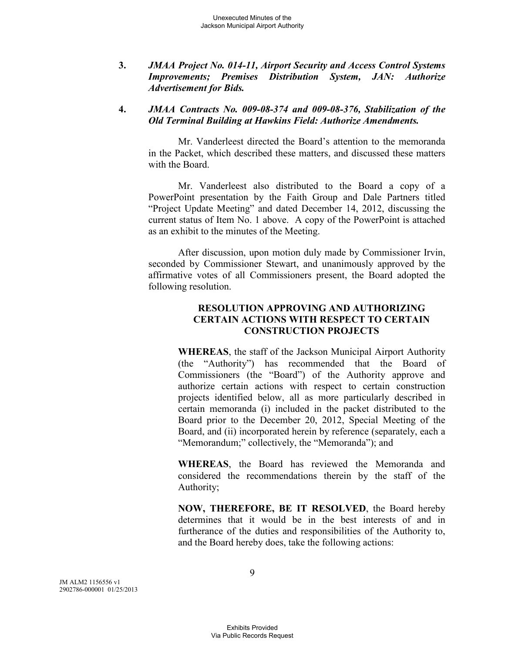**3.** *JMAA Project No. 014-11, Airport Security and Access Control Systems Improvements; Premises Distribution System, JAN: Authorize Advertisement for Bids.* 

## **4.** *JMAA Contracts No. 009-08-374 and 009-08-376, Stabilization of the Old Terminal Building at Hawkins Field: Authorize Amendments.*

Mr. Vanderleest directed the Board's attention to the memoranda in the Packet, which described these matters, and discussed these matters with the Board.

Mr. Vanderleest also distributed to the Board a copy of a PowerPoint presentation by the Faith Group and Dale Partners titled "Project Update Meeting" and dated December 14, 2012, discussing the current status of Item No. 1 above. A copy of the PowerPoint is attached as an exhibit to the minutes of the Meeting.

After discussion, upon motion duly made by Commissioner Irvin, seconded by Commissioner Stewart, and unanimously approved by the affirmative votes of all Commissioners present, the Board adopted the following resolution.

## **RESOLUTION APPROVING AND AUTHORIZING CERTAIN ACTIONS WITH RESPECT TO CERTAIN CONSTRUCTION PROJECTS**

**WHEREAS**, the staff of the Jackson Municipal Airport Authority (the "Authority") has recommended that the Board of Commissioners (the "Board") of the Authority approve and authorize certain actions with respect to certain construction projects identified below, all as more particularly described in certain memoranda (i) included in the packet distributed to the Board prior to the December 20, 2012, Special Meeting of the Board, and (ii) incorporated herein by reference (separately, each a "Memorandum;" collectively, the "Memoranda"); and

**WHEREAS**, the Board has reviewed the Memoranda and considered the recommendations therein by the staff of the Authority;

**NOW, THEREFORE, BE IT RESOLVED**, the Board hereby determines that it would be in the best interests of and in furtherance of the duties and responsibilities of the Authority to, and the Board hereby does, take the following actions: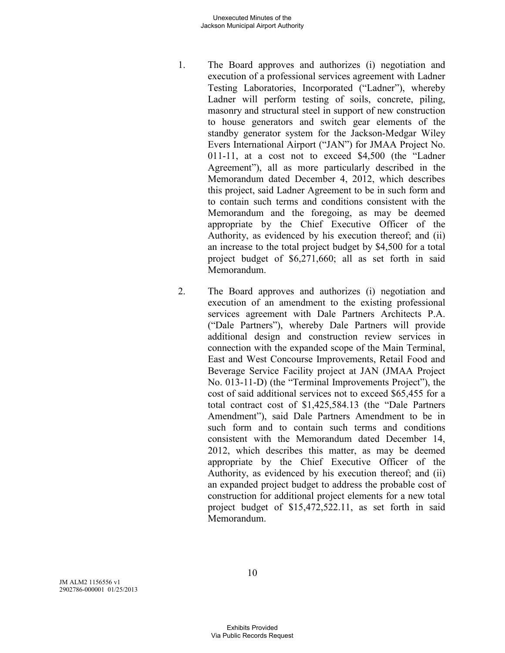#### Unexecuted Minutes of the Jackson Municipal Airport Authority

- 1. The Board approves and authorizes (i) negotiation and execution of a professional services agreement with Ladner Testing Laboratories, Incorporated ("Ladner"), whereby Ladner will perform testing of soils, concrete, piling, masonry and structural steel in support of new construction to house generators and switch gear elements of the standby generator system for the Jackson-Medgar Wiley Evers International Airport ("JAN") for JMAA Project No. 011-11, at a cost not to exceed \$4,500 (the "Ladner Agreement"), all as more particularly described in the Memorandum dated December 4, 2012, which describes this project, said Ladner Agreement to be in such form and to contain such terms and conditions consistent with the Memorandum and the foregoing, as may be deemed appropriate by the Chief Executive Officer of the Authority, as evidenced by his execution thereof; and (ii) an increase to the total project budget by \$4,500 for a total project budget of \$6,271,660; all as set forth in said Memorandum.
- 2. The Board approves and authorizes (i) negotiation and execution of an amendment to the existing professional services agreement with Dale Partners Architects P.A. ("Dale Partners"), whereby Dale Partners will provide additional design and construction review services in connection with the expanded scope of the Main Terminal, East and West Concourse Improvements, Retail Food and Beverage Service Facility project at JAN (JMAA Project No. 013-11-D) (the "Terminal Improvements Project"), the cost of said additional services not to exceed \$65,455 for a total contract cost of \$1,425,584.13 (the "Dale Partners Amendment"), said Dale Partners Amendment to be in such form and to contain such terms and conditions consistent with the Memorandum dated December 14, 2012, which describes this matter, as may be deemed appropriate by the Chief Executive Officer of the Authority, as evidenced by his execution thereof; and (ii) an expanded project budget to address the probable cost of construction for additional project elements for a new total project budget of \$15,472,522.11, as set forth in said Memorandum.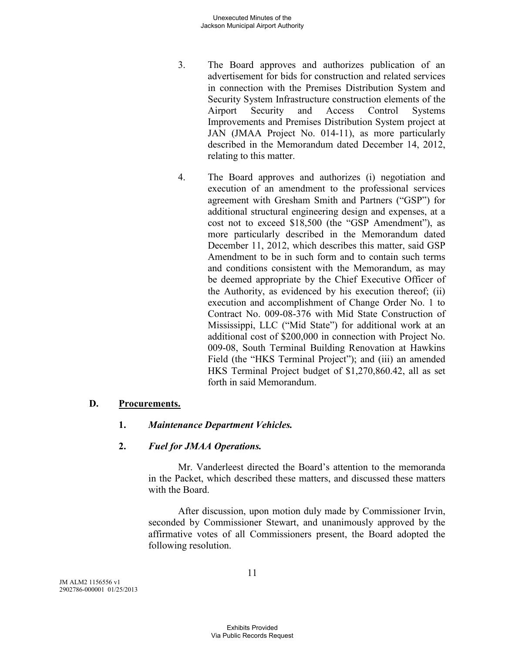- 3. The Board approves and authorizes publication of an advertisement for bids for construction and related services in connection with the Premises Distribution System and Security System Infrastructure construction elements of the Airport Security and Access Control Systems Improvements and Premises Distribution System project at JAN (JMAA Project No. 014-11), as more particularly described in the Memorandum dated December 14, 2012, relating to this matter.
- 4. The Board approves and authorizes (i) negotiation and execution of an amendment to the professional services agreement with Gresham Smith and Partners ("GSP") for additional structural engineering design and expenses, at a cost not to exceed \$18,500 (the "GSP Amendment"), as more particularly described in the Memorandum dated December 11, 2012, which describes this matter, said GSP Amendment to be in such form and to contain such terms and conditions consistent with the Memorandum, as may be deemed appropriate by the Chief Executive Officer of the Authority, as evidenced by his execution thereof; (ii) execution and accomplishment of Change Order No. 1 to Contract No. 009-08-376 with Mid State Construction of Mississippi, LLC ("Mid State") for additional work at an additional cost of \$200,000 in connection with Project No. 009-08, South Terminal Building Renovation at Hawkins Field (the "HKS Terminal Project"); and (iii) an amended HKS Terminal Project budget of \$1,270,860.42, all as set forth in said Memorandum.

## **D. Procurements.**

## **1.** *Maintenance Department Vehicles.*

## **2.** *Fuel for JMAA Operations.*

Mr. Vanderleest directed the Board's attention to the memoranda in the Packet, which described these matters, and discussed these matters with the Board.

After discussion, upon motion duly made by Commissioner Irvin, seconded by Commissioner Stewart, and unanimously approved by the affirmative votes of all Commissioners present, the Board adopted the following resolution.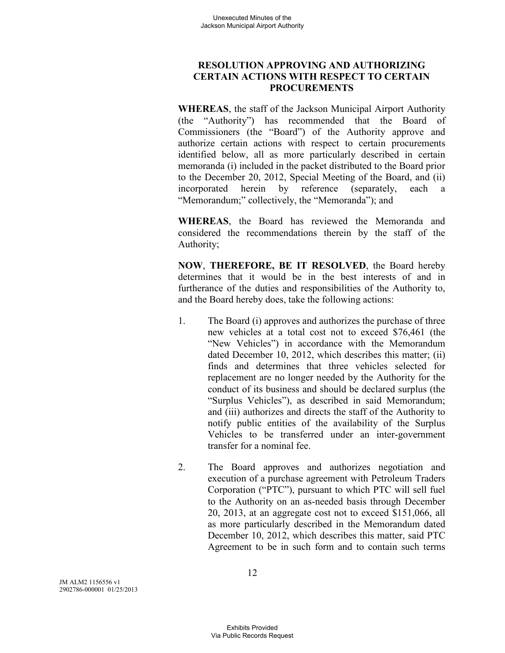# **RESOLUTION APPROVING AND AUTHORIZING CERTAIN ACTIONS WITH RESPECT TO CERTAIN PROCUREMENTS**

**WHEREAS**, the staff of the Jackson Municipal Airport Authority (the "Authority") has recommended that the Board of Commissioners (the "Board") of the Authority approve and authorize certain actions with respect to certain procurements identified below, all as more particularly described in certain memoranda (i) included in the packet distributed to the Board prior to the December 20, 2012, Special Meeting of the Board, and (ii) incorporated herein by reference (separately, each a "Memorandum;" collectively, the "Memoranda"); and

**WHEREAS**, the Board has reviewed the Memoranda and considered the recommendations therein by the staff of the Authority;

**NOW**, **THEREFORE, BE IT RESOLVED**, the Board hereby determines that it would be in the best interests of and in furtherance of the duties and responsibilities of the Authority to, and the Board hereby does, take the following actions:

- 1. The Board (i) approves and authorizes the purchase of three new vehicles at a total cost not to exceed \$76,461 (the "New Vehicles") in accordance with the Memorandum dated December 10, 2012, which describes this matter; (ii) finds and determines that three vehicles selected for replacement are no longer needed by the Authority for the conduct of its business and should be declared surplus (the "Surplus Vehicles"), as described in said Memorandum; and (iii) authorizes and directs the staff of the Authority to notify public entities of the availability of the Surplus Vehicles to be transferred under an inter-government transfer for a nominal fee.
- 2. The Board approves and authorizes negotiation and execution of a purchase agreement with Petroleum Traders Corporation ("PTC"), pursuant to which PTC will sell fuel to the Authority on an as-needed basis through December 20, 2013, at an aggregate cost not to exceed \$151,066, all as more particularly described in the Memorandum dated December 10, 2012, which describes this matter, said PTC Agreement to be in such form and to contain such terms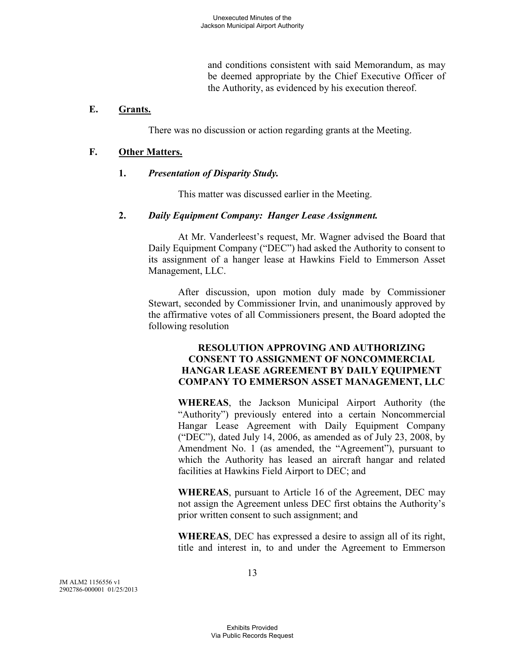and conditions consistent with said Memorandum, as may be deemed appropriate by the Chief Executive Officer of the Authority, as evidenced by his execution thereof.

#### **E. Grants.**

There was no discussion or action regarding grants at the Meeting.

## **F. Other Matters.**

#### **1.** *Presentation of Disparity Study.*

This matter was discussed earlier in the Meeting.

#### **2.** *Daily Equipment Company: Hanger Lease Assignment.*

At Mr. Vanderleest's request, Mr. Wagner advised the Board that Daily Equipment Company ("DEC") had asked the Authority to consent to its assignment of a hanger lease at Hawkins Field to Emmerson Asset Management, LLC.

After discussion, upon motion duly made by Commissioner Stewart, seconded by Commissioner Irvin, and unanimously approved by the affirmative votes of all Commissioners present, the Board adopted the following resolution

## **RESOLUTION APPROVING AND AUTHORIZING CONSENT TO ASSIGNMENT OF NONCOMMERCIAL HANGAR LEASE AGREEMENT BY DAILY EQUIPMENT COMPANY TO EMMERSON ASSET MANAGEMENT, LLC**

**WHEREAS**, the Jackson Municipal Airport Authority (the "Authority") previously entered into a certain Noncommercial Hangar Lease Agreement with Daily Equipment Company ("DEC"), dated July 14, 2006, as amended as of July 23, 2008, by Amendment No. 1 (as amended, the "Agreement"), pursuant to which the Authority has leased an aircraft hangar and related facilities at Hawkins Field Airport to DEC; and

**WHEREAS**, pursuant to Article 16 of the Agreement, DEC may not assign the Agreement unless DEC first obtains the Authority's prior written consent to such assignment; and

**WHEREAS**, DEC has expressed a desire to assign all of its right, title and interest in, to and under the Agreement to Emmerson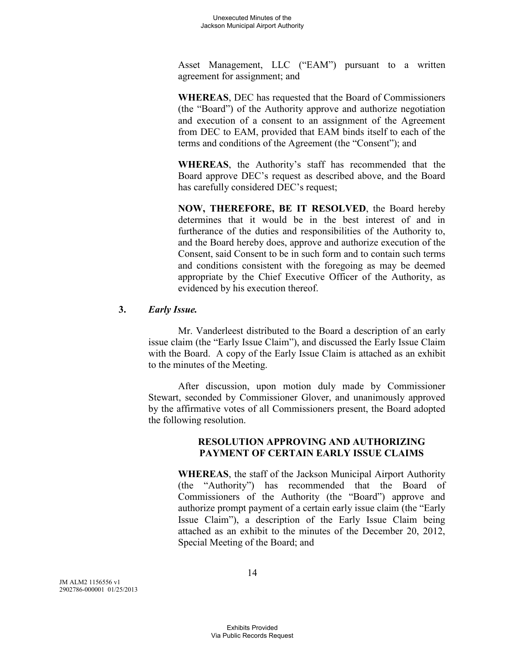Asset Management, LLC ("EAM") pursuant to a written agreement for assignment; and

**WHEREAS**, DEC has requested that the Board of Commissioners (the "Board") of the Authority approve and authorize negotiation and execution of a consent to an assignment of the Agreement from DEC to EAM, provided that EAM binds itself to each of the terms and conditions of the Agreement (the "Consent"); and

**WHEREAS**, the Authority's staff has recommended that the Board approve DEC's request as described above, and the Board has carefully considered DEC's request;

**NOW, THEREFORE, BE IT RESOLVED**, the Board hereby determines that it would be in the best interest of and in furtherance of the duties and responsibilities of the Authority to, and the Board hereby does, approve and authorize execution of the Consent, said Consent to be in such form and to contain such terms and conditions consistent with the foregoing as may be deemed appropriate by the Chief Executive Officer of the Authority, as evidenced by his execution thereof.

## **3.** *Early Issue.*

Mr. Vanderleest distributed to the Board a description of an early issue claim (the "Early Issue Claim"), and discussed the Early Issue Claim with the Board. A copy of the Early Issue Claim is attached as an exhibit to the minutes of the Meeting.

After discussion, upon motion duly made by Commissioner Stewart, seconded by Commissioner Glover, and unanimously approved by the affirmative votes of all Commissioners present, the Board adopted the following resolution.

## **RESOLUTION APPROVING AND AUTHORIZING PAYMENT OF CERTAIN EARLY ISSUE CLAIMS**

**WHEREAS**, the staff of the Jackson Municipal Airport Authority (the "Authority") has recommended that the Board of Commissioners of the Authority (the "Board") approve and authorize prompt payment of a certain early issue claim (the "Early Issue Claim"), a description of the Early Issue Claim being attached as an exhibit to the minutes of the December 20, 2012, Special Meeting of the Board; and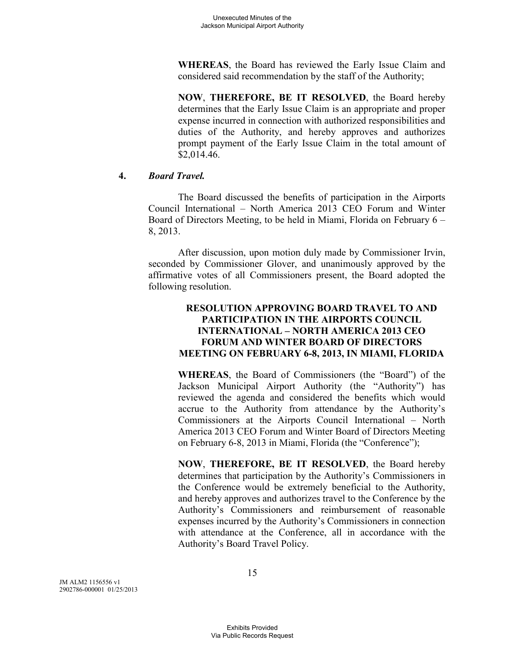**WHEREAS**, the Board has reviewed the Early Issue Claim and considered said recommendation by the staff of the Authority;

**NOW**, **THEREFORE, BE IT RESOLVED**, the Board hereby determines that the Early Issue Claim is an appropriate and proper expense incurred in connection with authorized responsibilities and duties of the Authority, and hereby approves and authorizes prompt payment of the Early Issue Claim in the total amount of \$2,014.46.

## **4.** *Board Travel.*

The Board discussed the benefits of participation in the Airports Council International – North America 2013 CEO Forum and Winter Board of Directors Meeting, to be held in Miami, Florida on February 6 – 8, 2013.

After discussion, upon motion duly made by Commissioner Irvin, seconded by Commissioner Glover, and unanimously approved by the affirmative votes of all Commissioners present, the Board adopted the following resolution.

# **RESOLUTION APPROVING BOARD TRAVEL TO AND PARTICIPATION IN THE AIRPORTS COUNCIL INTERNATIONAL – NORTH AMERICA 2013 CEO FORUM AND WINTER BOARD OF DIRECTORS MEETING ON FEBRUARY 6-8, 2013, IN MIAMI, FLORIDA**

**WHEREAS**, the Board of Commissioners (the "Board") of the Jackson Municipal Airport Authority (the "Authority") has reviewed the agenda and considered the benefits which would accrue to the Authority from attendance by the Authority's Commissioners at the Airports Council International – North America 2013 CEO Forum and Winter Board of Directors Meeting on February 6-8, 2013 in Miami, Florida (the "Conference");

**NOW**, **THEREFORE, BE IT RESOLVED**, the Board hereby determines that participation by the Authority's Commissioners in the Conference would be extremely beneficial to the Authority, and hereby approves and authorizes travel to the Conference by the Authority's Commissioners and reimbursement of reasonable expenses incurred by the Authority's Commissioners in connection with attendance at the Conference, all in accordance with the Authority's Board Travel Policy.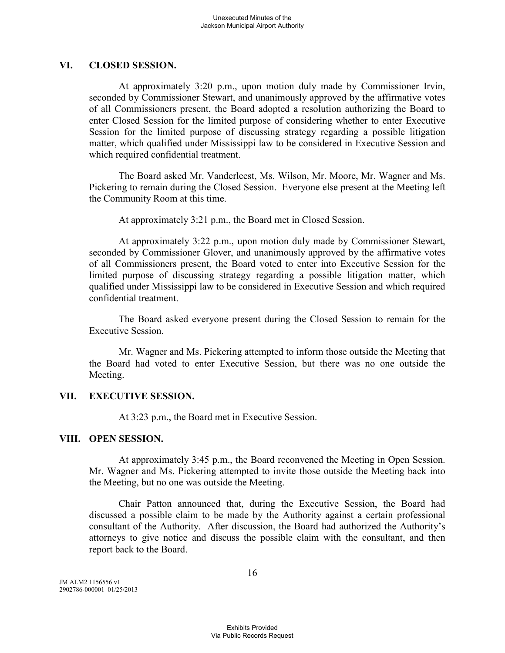## **VI. CLOSED SESSION.**

At approximately 3:20 p.m., upon motion duly made by Commissioner Irvin, seconded by Commissioner Stewart, and unanimously approved by the affirmative votes of all Commissioners present, the Board adopted a resolution authorizing the Board to enter Closed Session for the limited purpose of considering whether to enter Executive Session for the limited purpose of discussing strategy regarding a possible litigation matter, which qualified under Mississippi law to be considered in Executive Session and which required confidential treatment.

The Board asked Mr. Vanderleest, Ms. Wilson, Mr. Moore, Mr. Wagner and Ms. Pickering to remain during the Closed Session. Everyone else present at the Meeting left the Community Room at this time.

At approximately 3:21 p.m., the Board met in Closed Session.

At approximately 3:22 p.m., upon motion duly made by Commissioner Stewart, seconded by Commissioner Glover, and unanimously approved by the affirmative votes of all Commissioners present, the Board voted to enter into Executive Session for the limited purpose of discussing strategy regarding a possible litigation matter, which qualified under Mississippi law to be considered in Executive Session and which required confidential treatment.

The Board asked everyone present during the Closed Session to remain for the Executive Session.

Mr. Wagner and Ms. Pickering attempted to inform those outside the Meeting that the Board had voted to enter Executive Session, but there was no one outside the Meeting.

## **VII. EXECUTIVE SESSION.**

At 3:23 p.m., the Board met in Executive Session.

## **VIII. OPEN SESSION.**

At approximately 3:45 p.m., the Board reconvened the Meeting in Open Session. Mr. Wagner and Ms. Pickering attempted to invite those outside the Meeting back into the Meeting, but no one was outside the Meeting.

Chair Patton announced that, during the Executive Session, the Board had discussed a possible claim to be made by the Authority against a certain professional consultant of the Authority. After discussion, the Board had authorized the Authority's attorneys to give notice and discuss the possible claim with the consultant, and then report back to the Board.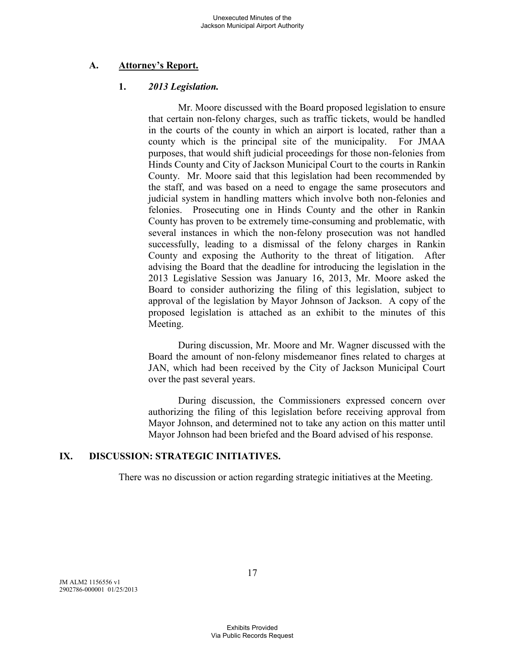# **A. Attorney's Report.**

## **1.** *2013 Legislation.*

Mr. Moore discussed with the Board proposed legislation to ensure that certain non-felony charges, such as traffic tickets, would be handled in the courts of the county in which an airport is located, rather than a county which is the principal site of the municipality. For JMAA purposes, that would shift judicial proceedings for those non-felonies from Hinds County and City of Jackson Municipal Court to the courts in Rankin County. Mr. Moore said that this legislation had been recommended by the staff, and was based on a need to engage the same prosecutors and judicial system in handling matters which involve both non-felonies and felonies. Prosecuting one in Hinds County and the other in Rankin County has proven to be extremely time-consuming and problematic, with several instances in which the non-felony prosecution was not handled successfully, leading to a dismissal of the felony charges in Rankin County and exposing the Authority to the threat of litigation. After advising the Board that the deadline for introducing the legislation in the 2013 Legislative Session was January 16, 2013, Mr. Moore asked the Board to consider authorizing the filing of this legislation, subject to approval of the legislation by Mayor Johnson of Jackson. A copy of the proposed legislation is attached as an exhibit to the minutes of this Meeting.

During discussion, Mr. Moore and Mr. Wagner discussed with the Board the amount of non-felony misdemeanor fines related to charges at JAN, which had been received by the City of Jackson Municipal Court over the past several years.

During discussion, the Commissioners expressed concern over authorizing the filing of this legislation before receiving approval from Mayor Johnson, and determined not to take any action on this matter until Mayor Johnson had been briefed and the Board advised of his response.

## **IX. DISCUSSION: STRATEGIC INITIATIVES.**

There was no discussion or action regarding strategic initiatives at the Meeting.